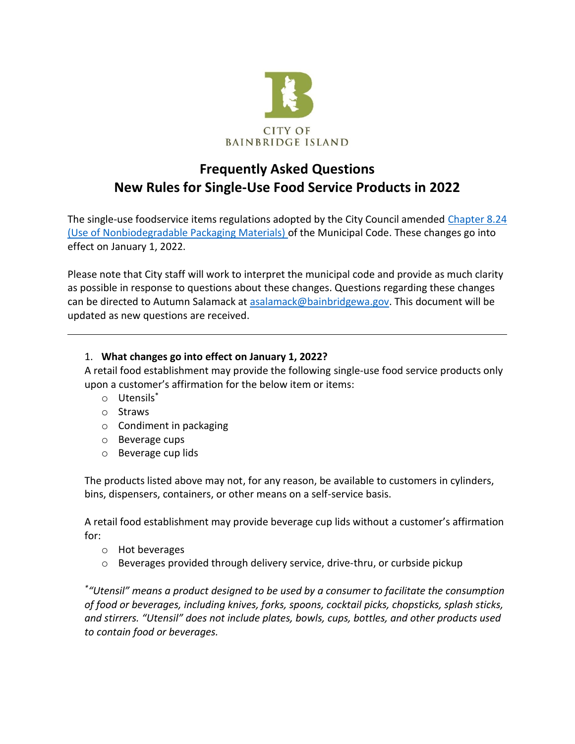

# **Frequently Asked Questions New Rules for Single-Use Food Service Products in 2022**

The single-use foodservice items regulations adopted by the City Council amended [Chapter 8.24](https://www.codepublishing.com/WA/BainbridgeIsland/#!/BainbridgeIsland08/BainbridgeIsland0824.html#8.24)  [\(Use of Nonbiodegradable Packaging Materials\)](https://www.codepublishing.com/WA/BainbridgeIsland/#!/BainbridgeIsland08/BainbridgeIsland0824.html#8.24) of the Municipal Code. These changes go into effect on January 1, 2022.

Please note that City staff will work to interpret the municipal code and provide as much clarity as possible in response to questions about these changes. Questions regarding these changes can be directed to Autumn Salamack at [asalamack@bainbridgewa.gov.](mailto:asalamack@bainbridgewa.gov) This document will be updated as new questions are received.

## 1. **What changes go into effect on January 1, 2022?**

A retail food establishment may provide the following single-use food service products only upon a customer's affirmation for the below item or items:

- o Utensils\*
- o Straws
- o Condiment in packaging
- o Beverage cups
- o Beverage cup lids

The products listed above may not, for any reason, be available to customers in cylinders, bins, dispensers, containers, or other means on a self-service basis.

A retail food establishment may provide beverage cup lids without a customer's affirmation for:

- o Hot beverages
- $\circ$  Beverages provided through delivery service, drive-thru, or curbside pickup

*\* "Utensil" means a product designed to be used by a consumer to facilitate the consumption of food or beverages, including knives, forks, spoons, cocktail picks, chopsticks, splash sticks, and stirrers. "Utensil" does not include plates, bowls, cups, bottles, and other products used to contain food or beverages.*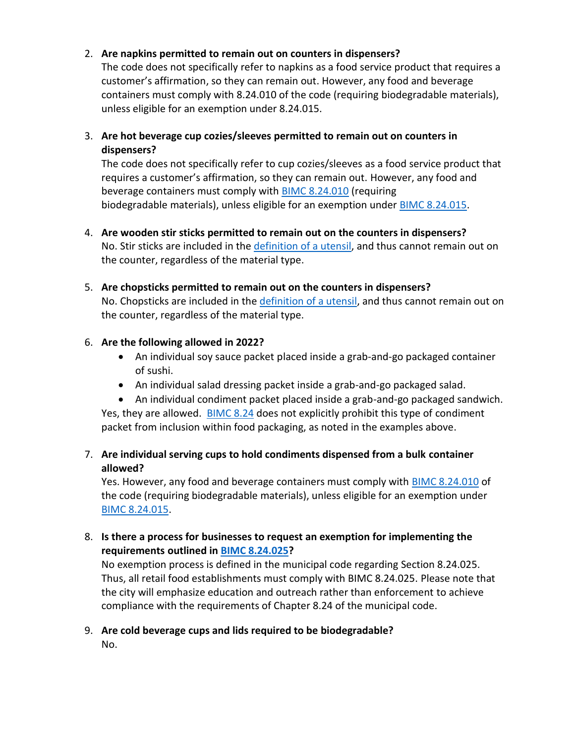#### 2. **Are napkins permitted to remain out on counters in dispensers?**

The code does not specifically refer to napkins as a food service product that requires a customer's affirmation, so they can remain out. However, any food and beverage containers must comply with 8.24.010 of the code (requiring biodegradable materials), unless eligible for an exemption under 8.24.015.

## 3. **Are hot beverage cup cozies/sleeves permitted to remain out on counters in dispensers?**

The code does not specifically refer to cup cozies/sleeves as a food service product that requires a customer's affirmation, so they can remain out. However, any food and beverage containers must comply with [BIMC 8.24.010](https://www.codepublishing.com/WA/BainbridgeIsland/html/BainbridgeIsland08/BainbridgeIsland0824.html#8.24.010) (requiring biodegradable materials), unless eligible for an exemption under [BIMC 8.24.015.](https://www.codepublishing.com/WA/BainbridgeIsland/html/BainbridgeIsland08/BainbridgeIsland0824.html#8.24.015)

- 4. **Are wooden stir sticks permitted to remain out on the counters in dispensers?**  No. Stir sticks are included in the [definition of a utensil,](https://www.codepublishing.com/WA/BainbridgeIsland/html/BainbridgeIsland08/BainbridgeIsland0824.html#8.24.005) and thus cannot remain out on the counter, regardless of the material type.
- 5. **Are chopsticks permitted to remain out on the counters in dispensers?**  No. Chopsticks are included in the [definition of a utensil,](https://www.codepublishing.com/WA/BainbridgeIsland/html/BainbridgeIsland08/BainbridgeIsland0824.html#8.24.005) and thus cannot remain out on the counter, regardless of the material type.

#### 6. **Are the following allowed in 2022?**

- An individual soy sauce packet placed inside a grab-and-go packaged container of sushi.
- An individual salad dressing packet inside a grab-and-go packaged salad.
- An individual condiment packet placed inside a grab-and-go packaged sandwich.

Yes, they are allowed. [BIMC 8.24](https://www.codepublishing.com/WA/BainbridgeIsland/#!/BainbridgeIsland08/BainbridgeIsland0824.html) does not explicitly prohibit this type of condiment packet from inclusion within food packaging, as noted in the examples above.

#### 7. **Are individual serving cups to hold condiments dispensed from a bulk container allowed?**

Yes. However, any food and beverage containers must comply with [BIMC 8.24.010](https://www.codepublishing.com/WA/BainbridgeIsland/html/BainbridgeIsland08/BainbridgeIsland0824.html#8.24.010) of the code (requiring biodegradable materials), unless eligible for an exemption under [BIMC 8.24.015.](https://www.codepublishing.com/WA/BainbridgeIsland/html/BainbridgeIsland08/BainbridgeIsland0824.html#8.24.015)

## 8. **Is there a process for businesses to request an exemption for implementing the requirements outlined in [BIMC 8.24.025?](https://www.codepublishing.com/WA/BainbridgeIsland/#!/BainbridgeIsland08/BainbridgeIsland0824.html)**

No exemption process is defined in the municipal code regarding Section 8.24.025. Thus, all retail food establishments must comply with BIMC 8.24.025. Please note that the city will emphasize education and outreach rather than enforcement to achieve compliance with the requirements of Chapter 8.24 of the municipal code.

9. **Are cold beverage cups and lids required to be biodegradable?** No.